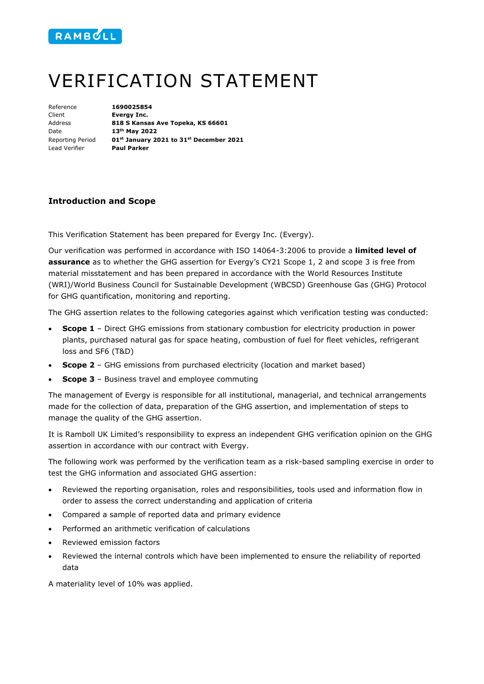

## VERIFICATION STATEMENT

| Reference               | 1690025854                 |
|-------------------------|----------------------------|
| Client                  | Evergy Inc.                |
| Address                 | 818 S Kansas               |
| Date                    | 13 <sup>th</sup> May 2022  |
| <b>Reporting Period</b> | 01 <sup>st</sup> January 2 |
| Lead Verifier           | <b>Paul Parker</b>         |

Reference **1690025854 Evergy Inc.** Address **818 S Kansas Ave Topeka, KS 66601** Reporting Period **01st January 2021 to 31st December 2021** Lead Verifier **Paul Parker** 

## **Introduction and Scope**

This Verification Statement has been prepared for Evergy Inc. (Evergy).

Our verification was performed in accordance with ISO 14064-3:2006 to provide a **limited level of assurance** as to whether the GHG assertion for Evergy's CY21 Scope 1, 2 and scope 3 is free from material misstatement and has been prepared in accordance with the World Resources Institute (WRI)/World Business Council for Sustainable Development (WBCSD) Greenhouse Gas (GHG) Protocol for GHG quantification, monitoring and reporting.

The GHG assertion relates to the following categories against which verification testing was conducted:

- **Scope 1** Direct GHG emissions from stationary combustion for electricity production in power plants, purchased natural gas for space heating, combustion of fuel for fleet vehicles, refrigerant loss and SF6 (T&D)
- **Scope 2** GHG emissions from purchased electricity (location and market based)
- **Scope 3**  Business travel and employee commuting

The management of Evergy is responsible for all institutional, managerial, and technical arrangements made for the collection of data, preparation of the GHG assertion, and implementation of steps to manage the quality of the GHG assertion.

It is Ramboll UK Limited's responsibility to express an independent GHG verification opinion on the GHG assertion in accordance with our contract with Evergy.

The following work was performed by the verification team as a risk-based sampling exercise in order to test the GHG information and associated GHG assertion:

- Reviewed the reporting organisation, roles and responsibilities, tools used and information flow in order to assess the correct understanding and application of criteria
- Compared a sample of reported data and primary evidence
- Performed an arithmetic verification of calculations
- Reviewed emission factors
- Reviewed the internal controls which have been implemented to ensure the reliability of reported data

A materiality level of 10% was applied.